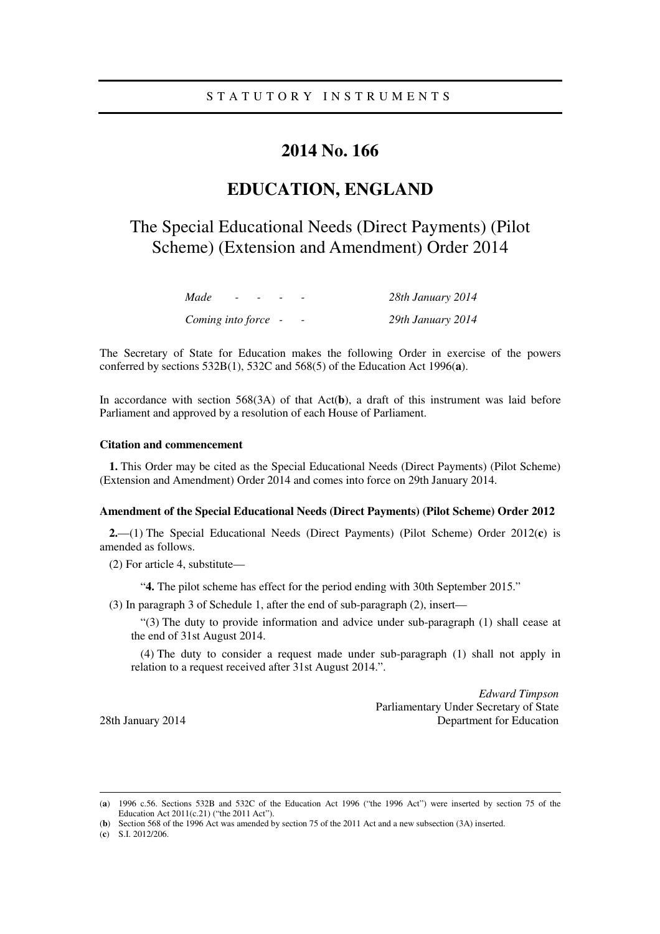### **2014 No. 166**

## **EDUCATION, ENGLAND**

# The Special Educational Needs (Direct Payments) (Pilot Scheme) (Extension and Amendment) Order 2014

| Made                | $ -$ | $\overline{\phantom{0}}$ |                          | 28th January 2014 |
|---------------------|------|--------------------------|--------------------------|-------------------|
| Coming into force - |      |                          | $\overline{\phantom{0}}$ | 29th January 2014 |

The Secretary of State for Education makes the following Order in exercise of the powers conferred by sections 532B(1), 532C and 568(5) of the Education Act 1996(**a**).

In accordance with section 568(3A) of that Act(**b**), a draft of this instrument was laid before Parliament and approved by a resolution of each House of Parliament.

#### **Citation and commencement**

**1.** This Order may be cited as the Special Educational Needs (Direct Payments) (Pilot Scheme) (Extension and Amendment) Order 2014 and comes into force on 29th January 2014.

#### **Amendment of the Special Educational Needs (Direct Payments) (Pilot Scheme) Order 2012**

**2.**—(1) The Special Educational Needs (Direct Payments) (Pilot Scheme) Order 2012(**c**) is amended as follows.

(2) For article 4, substitute—

"**4.** The pilot scheme has effect for the period ending with 30th September 2015."

(3) In paragraph 3 of Schedule 1, after the end of sub-paragraph (2), insert—

"(3) The duty to provide information and advice under sub-paragraph (1) shall cease at the end of 31st August 2014.

(4) The duty to consider a request made under sub-paragraph (1) shall not apply in relation to a request received after 31st August 2014.".

*Edward Timpson*  Parliamentary Under Secretary of State 28th January 2014 **Department for Education** 

<u>.</u>

<sup>(</sup>**a**) 1996 c.56. Sections 532B and 532C of the Education Act 1996 ("the 1996 Act") were inserted by section 75 of the Education Act 2011(c.21) ("the 2011 Act").

<sup>(</sup>**b**) Section 568 of the 1996 Act was amended by section 75 of the 2011 Act and a new subsection (3A) inserted.

<sup>(</sup>**c**) S.I. 2012/206.